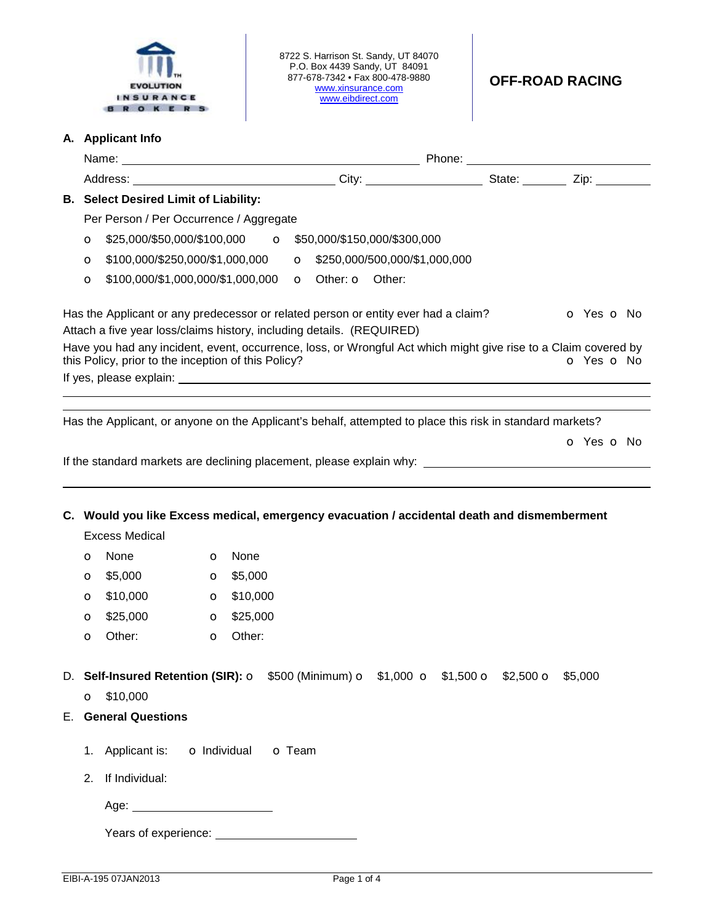

8722 S. Harrison St. Sandy, UT 84070 P.O. Box 4439 Sandy, UT 84091 877-678-7342 • Fax 800-478-9880 [www.xinsurance.com](http://www.xinsurance.com) [www.eibdirect.com](http://www.eibdirect.com) 

## **A. Applicant Info**

|                                                                                                                      | <b>B. Select Desired Limit of Liability:</b>                          |              |                    |                                                     |                                                                                    |                                                                                                           |                                                                                                                               |  |  |
|----------------------------------------------------------------------------------------------------------------------|-----------------------------------------------------------------------|--------------|--------------------|-----------------------------------------------------|------------------------------------------------------------------------------------|-----------------------------------------------------------------------------------------------------------|-------------------------------------------------------------------------------------------------------------------------------|--|--|
|                                                                                                                      | Per Person / Per Occurrence / Aggregate                               |              |                    |                                                     |                                                                                    |                                                                                                           |                                                                                                                               |  |  |
| $\mathbf o$                                                                                                          |                                                                       |              |                    |                                                     |                                                                                    |                                                                                                           |                                                                                                                               |  |  |
| O                                                                                                                    |                                                                       |              |                    |                                                     |                                                                                    |                                                                                                           |                                                                                                                               |  |  |
| $\circ$                                                                                                              |                                                                       |              |                    | \$100,000/\$1,000,000/\$1,000,000 o Other: o Other: |                                                                                    |                                                                                                           |                                                                                                                               |  |  |
|                                                                                                                      | Attach a five year loss/claims history, including details. (REQUIRED) |              |                    |                                                     | Has the Applicant or any predecessor or related person or entity ever had a claim? |                                                                                                           | o Yes o No<br>Have you had any incident, event, occurrence, loss, or Wrongful Act which might give rise to a Claim covered by |  |  |
|                                                                                                                      | this Policy, prior to the inception of this Policy?                   |              |                    |                                                     |                                                                                    |                                                                                                           | o Yes o No                                                                                                                    |  |  |
|                                                                                                                      |                                                                       |              |                    |                                                     |                                                                                    |                                                                                                           |                                                                                                                               |  |  |
|                                                                                                                      |                                                                       |              |                    |                                                     |                                                                                    | Has the Applicant, or anyone on the Applicant's behalf, attempted to place this risk in standard markets? |                                                                                                                               |  |  |
|                                                                                                                      |                                                                       |              |                    |                                                     |                                                                                    |                                                                                                           | O Yes O No                                                                                                                    |  |  |
|                                                                                                                      |                                                                       |              |                    |                                                     |                                                                                    |                                                                                                           |                                                                                                                               |  |  |
|                                                                                                                      |                                                                       |              |                    |                                                     |                                                                                    |                                                                                                           |                                                                                                                               |  |  |
| C. Would you like Excess medical, emergency evacuation / accidental death and dismemberment<br><b>Excess Medical</b> |                                                                       |              |                    |                                                     |                                                                                    |                                                                                                           |                                                                                                                               |  |  |
| O                                                                                                                    | None                                                                  | $\circ$      | None               |                                                     |                                                                                    |                                                                                                           |                                                                                                                               |  |  |
| O                                                                                                                    | \$5,000                                                               | $\mathbf{o}$ | \$5,000            |                                                     |                                                                                    |                                                                                                           |                                                                                                                               |  |  |
| $\circ$                                                                                                              | \$10,000                                                              |              | $\bullet$ \$10,000 |                                                     |                                                                                    |                                                                                                           |                                                                                                                               |  |  |
| O                                                                                                                    | \$25,000                                                              | $\mathbf{o}$ | \$25,000           |                                                     |                                                                                    |                                                                                                           |                                                                                                                               |  |  |
| O                                                                                                                    | Other:                                                                | $\circ$      | Other:             |                                                     |                                                                                    |                                                                                                           |                                                                                                                               |  |  |
|                                                                                                                      |                                                                       |              |                    |                                                     |                                                                                    |                                                                                                           |                                                                                                                               |  |  |
| D. Self-Insured Retention (SIR): O \$500 (Minimum) O \$1,000 O \$1,500 O \$2,500 O \$5,000                           |                                                                       |              |                    |                                                     |                                                                                    |                                                                                                           |                                                                                                                               |  |  |
|                                                                                                                      | $O$ \$10,000                                                          |              |                    |                                                     |                                                                                    |                                                                                                           |                                                                                                                               |  |  |
|                                                                                                                      | <b>E.</b> General Questions                                           |              |                    |                                                     |                                                                                    |                                                                                                           |                                                                                                                               |  |  |
|                                                                                                                      |                                                                       |              |                    |                                                     |                                                                                    |                                                                                                           |                                                                                                                               |  |  |
|                                                                                                                      | 1. Applicant is: <b>o</b> Individual                                  |              | <b>o</b> Team      |                                                     |                                                                                    |                                                                                                           |                                                                                                                               |  |  |
| 2.                                                                                                                   | If Individual:                                                        |              |                    |                                                     |                                                                                    |                                                                                                           |                                                                                                                               |  |  |
|                                                                                                                      | Age:                                                                  |              |                    |                                                     |                                                                                    |                                                                                                           |                                                                                                                               |  |  |
|                                                                                                                      |                                                                       |              |                    |                                                     |                                                                                    |                                                                                                           |                                                                                                                               |  |  |

Years of experience: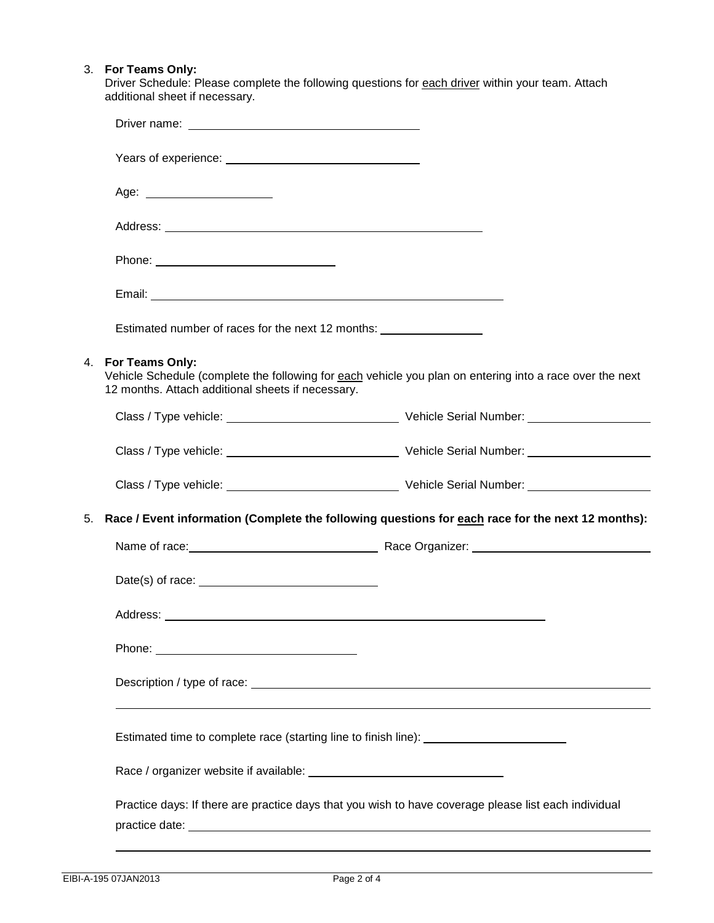## 3. **For Teams Only:**

Driver Schedule: Please complete the following questions for each driver within your team. Attach additional sheet if necessary.

|    | Age: _________________________                                                                                                                                                                                                                                                             |                                                                                                                                                                                                                                      |  |  |  |  |
|----|--------------------------------------------------------------------------------------------------------------------------------------------------------------------------------------------------------------------------------------------------------------------------------------------|--------------------------------------------------------------------------------------------------------------------------------------------------------------------------------------------------------------------------------------|--|--|--|--|
|    |                                                                                                                                                                                                                                                                                            |                                                                                                                                                                                                                                      |  |  |  |  |
|    |                                                                                                                                                                                                                                                                                            |                                                                                                                                                                                                                                      |  |  |  |  |
|    |                                                                                                                                                                                                                                                                                            |                                                                                                                                                                                                                                      |  |  |  |  |
|    | Estimated number of races for the next 12 months: ______________________________                                                                                                                                                                                                           |                                                                                                                                                                                                                                      |  |  |  |  |
| 4. | For Teams Only:<br>12 months. Attach additional sheets if necessary.                                                                                                                                                                                                                       | Vehicle Schedule (complete the following for each vehicle you plan on entering into a race over the next                                                                                                                             |  |  |  |  |
|    |                                                                                                                                                                                                                                                                                            |                                                                                                                                                                                                                                      |  |  |  |  |
|    |                                                                                                                                                                                                                                                                                            |                                                                                                                                                                                                                                      |  |  |  |  |
|    |                                                                                                                                                                                                                                                                                            |                                                                                                                                                                                                                                      |  |  |  |  |
| 5. |                                                                                                                                                                                                                                                                                            | Race / Event information (Complete the following questions for each race for the next 12 months):                                                                                                                                    |  |  |  |  |
|    |                                                                                                                                                                                                                                                                                            | Name of race: <u>contract and contract and contract and contract and contract and contract and contract and contract and contract and contract and contract and contract and contract and contract and contract and contract and</u> |  |  |  |  |
|    | Date(s) of race: $\frac{1}{2}$ and $\frac{1}{2}$ and $\frac{1}{2}$ and $\frac{1}{2}$ and $\frac{1}{2}$ and $\frac{1}{2}$ and $\frac{1}{2}$ and $\frac{1}{2}$ and $\frac{1}{2}$ and $\frac{1}{2}$ and $\frac{1}{2}$ and $\frac{1}{2}$ and $\frac{1}{2}$ and $\frac{1}{2}$ and $\frac{1}{2}$ |                                                                                                                                                                                                                                      |  |  |  |  |
|    |                                                                                                                                                                                                                                                                                            |                                                                                                                                                                                                                                      |  |  |  |  |
|    |                                                                                                                                                                                                                                                                                            |                                                                                                                                                                                                                                      |  |  |  |  |
|    |                                                                                                                                                                                                                                                                                            | Description / type of race: Letter and the set of the set of the set of the set of the set of the set of the set of the set of the set of the set of the set of the set of the set of the set of the set of the set of the set       |  |  |  |  |
|    | Estimated time to complete race (starting line to finish line): _________________                                                                                                                                                                                                          |                                                                                                                                                                                                                                      |  |  |  |  |
|    |                                                                                                                                                                                                                                                                                            |                                                                                                                                                                                                                                      |  |  |  |  |
|    | Practice days: If there are practice days that you wish to have coverage please list each individual                                                                                                                                                                                       |                                                                                                                                                                                                                                      |  |  |  |  |
|    |                                                                                                                                                                                                                                                                                            |                                                                                                                                                                                                                                      |  |  |  |  |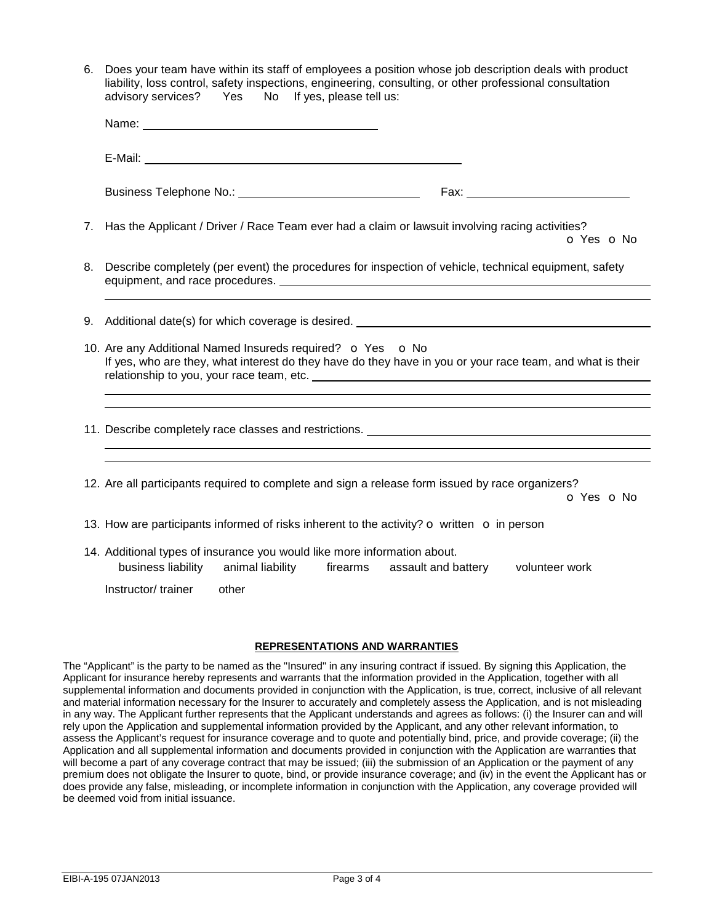| 6. | Does your team have within its staff of employees a position whose job description deals with product<br>liability, loss control, safety inspections, engineering, consulting, or other professional consultation<br>advisory services? Yes<br>No If yes, please tell us: |  |  |  |  |  |
|----|---------------------------------------------------------------------------------------------------------------------------------------------------------------------------------------------------------------------------------------------------------------------------|--|--|--|--|--|
|    |                                                                                                                                                                                                                                                                           |  |  |  |  |  |
|    |                                                                                                                                                                                                                                                                           |  |  |  |  |  |
|    |                                                                                                                                                                                                                                                                           |  |  |  |  |  |
| 7. | Has the Applicant / Driver / Race Team ever had a claim or lawsuit involving racing activities?<br>O Yes O No                                                                                                                                                             |  |  |  |  |  |
| 8. | Describe completely (per event) the procedures for inspection of vehicle, technical equipment, safety                                                                                                                                                                     |  |  |  |  |  |
| 9. |                                                                                                                                                                                                                                                                           |  |  |  |  |  |
|    | 10. Are any Additional Named Insureds required? o Yes o No<br>If yes, who are they, what interest do they have do they have in you or your race team, and what is their                                                                                                   |  |  |  |  |  |
|    |                                                                                                                                                                                                                                                                           |  |  |  |  |  |
|    | 12. Are all participants required to complete and sign a release form issued by race organizers?<br>O Yes O No                                                                                                                                                            |  |  |  |  |  |
|    | 13. How are participants informed of risks inherent to the activity? o written o in person                                                                                                                                                                                |  |  |  |  |  |
|    | 14. Additional types of insurance you would like more information about.<br>business liability animal liability<br>firearms assault and battery<br>volunteer work                                                                                                         |  |  |  |  |  |
|    | Instructor/ trainer<br>other                                                                                                                                                                                                                                              |  |  |  |  |  |

## **REPRESENTATIONS AND WARRANTIES**

The "Applicant" is the party to be named as the "Insured" in any insuring contract if issued. By signing this Application, the Applicant for insurance hereby represents and warrants that the information provided in the Application, together with all supplemental information and documents provided in conjunction with the Application, is true, correct, inclusive of all relevant and material information necessary for the Insurer to accurately and completely assess the Application, and is not misleading in any way. The Applicant further represents that the Applicant understands and agrees as follows: (i) the Insurer can and will rely upon the Application and supplemental information provided by the Applicant, and any other relevant information, to assess the Applicant's request for insurance coverage and to quote and potentially bind, price, and provide coverage; (ii) the Application and all supplemental information and documents provided in conjunction with the Application are warranties that will become a part of any coverage contract that may be issued; (iii) the submission of an Application or the payment of any premium does not obligate the Insurer to quote, bind, or provide insurance coverage; and (iv) in the event the Applicant has or does provide any false, misleading, or incomplete information in conjunction with the Application, any coverage provided will be deemed void from initial issuance.